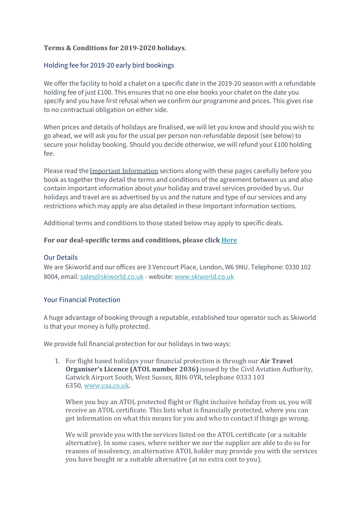## **Terms & Conditions for 2019-2020 holidays.**

## Holding fee for 2019-20 early bird bookings

We offer the facility to hold a chalet on a specific date in the 2019-20 season with a refundable holding fee of just £100. This ensures that no one else books your chalet on the date you specify and you have first refusal when we confirm our programme and prices. This gives rise to no contractual obligation on either side.

When prices and details of holidays are finalised, we will let you know and should you wish to go ahead, we will ask you for the usual per person non-refundable deposit (see below) to secure your holiday booking. Should you decide otherwise, we will refund your £100 holding fee.

Please read the Important Information sections along with these pages carefully before you book as together they detail the terms and conditions of the agreement between us and also contain important information about your holiday and travel services provided by us. Our holidays and travel are as advertised by us and the nature and type of our services and any restrictions which may apply are also detailed in these Important Information sections.

Additional terms and conditions to those stated below may apply to specific deals.

#### **For our deal-specific terms and conditions, please click [Here](https://www.skiworld.co.uk/customer-services/Important-information)**

#### Our Details

We are Skiworld and our offices are 3 Vencourt Place, London, W6 9NU. Telephone: 0330 102 8004, email: [sales@skiworld.co.uk](mailto:sales@skiworld.co.uk) - website: [www.skiworld.co.uk](http://www.skiworld.co.uk/)

### Your Financial Protection

A huge advantage of booking through a reputable, established tour operator such as Skiworld is that your money is fully protected.

We provide full financial protection for our holidays in two ways:

1. For flight based holidays your financial protection is through our **Air Travel Organiser's Licence (ATOL number 2036)** issued by the Civil Aviation Authority, Gatwick Airport South, West Sussex, RH6 0YR, telephone 0333 103 6350, [www.caa.co.uk.](http://www.caa.co.uk/)

When you buy an ATOL protected flight or flight inclusive holiday from us, you will receive an ATOL certificate. This lists what is financially protected, where you can get information on what this means for you and who to contact if things go wrong.

We will provide you with the services listed on the ATOL certificate (or a suitable alternative). In some cases, where neither we nor the supplier are able to do so for reasons of insolvency, an alternative ATOL holder may provide you with the services you have bought or a suitable alternative (at no extra cost to you).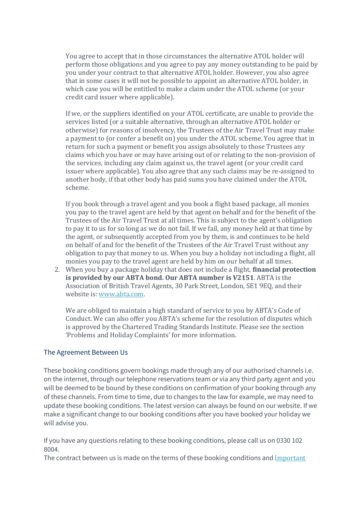You agree to accept that in those circumstances the alternative ATOL holder will perform those obligations and you agree to pay any money outstanding to be paid by you under your contract to that alternative ATOL holder. However, you also agree that in some cases it will not be possible to appoint an alternative ATOL holder, in which case you will be entitled to make a claim under the ATOL scheme (or your credit card issuer where applicable).

If we, or the suppliers identified on your ATOL certificate, are unable to provide the services listed (or a suitable alternative, through an alternative ATOL holder or otherwise) for reasons of insolvency, the Trustees of the Air Travel Trust may make a payment to (or confer a benefit on) you under the ATOL scheme. You agree that in return for such a payment or benefit you assign absolutely to those Trustees any claims which you have or may have arising out of or relating to the non-provision of the services, including any claim against us, the travel agent (or your credit card issuer where applicable). You also agree that any such claims may be re-assigned to another body, if that other body has paid sums you have claimed under the ATOL scheme.

If you book through a travel agent and you book a flight based package, all monies you pay to the travel agent are held by that agent on behalf and for the benefit of the Trustees of the Air Travel Trust at all times. This is subject to the agent's obligation to pay it to us for so long as we do not fail. If we fail, any money held at that time by the agent, or subsequently accepted from you by them, is and continues to be held on behalf of and for the benefit of the Trustees of the Air Travel Trust without any obligation to pay that money to us. When you buy a holiday not including a flight, all monies you pay to the travel agent are held by him on our behalf at all times.

2. When you buy a package holiday that does not include a flight, **financial protection is provided by our ABTA bond. Our ABTA number is V2151**. ABTA is the Association of British Travel Agents, 30 Park Street, London, SE1 9EQ, and their website is: [www.abta.com.](http://www.abta.com/)

We are obliged to maintain a high standard of service to you by ABTA's Code of Conduct. We can also offer you ABTA's scheme for the resolution of disputes which is approved by the Chartered Trading Standards Institute. Please see the section 'Problems and Holiday Complaints' for more information.

#### The Agreement Between Us

These booking conditions govern bookings made through any of our authorised channels i.e. on the internet, through our telephone reservations team or via any third party agent and you will be deemed to be bound by these conditions on confirmation of your booking through any of these channels. From time to time, due to changes to the law for example, we may need to update these booking conditions. The latest version can always be found on our website. If we make a significant change to our booking conditions after you have booked your holiday we will advise you.

If you have any questions relating to these booking conditions, please call us on 0330 102 8004.

The contract between us is made on the terms of these booking conditions and [Important](https://www.skiworld.co.uk/customer-services/Important-information)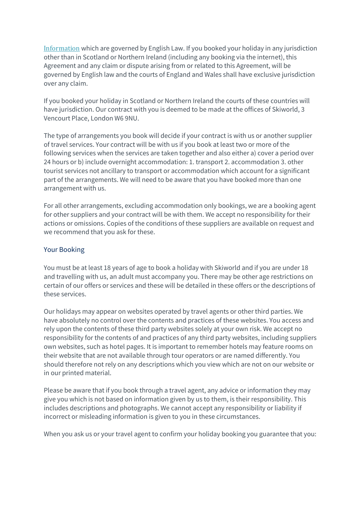[Information](https://www.skiworld.co.uk/customer-services/Important-information) which are governed by English Law. If you booked your holiday in any jurisdiction other than in Scotland or Northern Ireland (including any booking via the internet), this Agreement and any claim or dispute arising from or related to this Agreement, will be governed by English law and the courts of England and Wales shall have exclusive jurisdiction over any claim.

If you booked your holiday in Scotland or Northern Ireland the courts of these countries will have jurisdiction. Our contract with you is deemed to be made at the offices of Skiworld, 3 Vencourt Place, London W6 9NU.

The type of arrangements you book will decide if your contract is with us or another supplier of travel services. Your contract will be with us if you book at least two or more of the following services when the services are taken together and also either a) cover a period over 24 hours or b) include overnight accommodation: 1. transport 2. accommodation 3. other tourist services not ancillary to transport or accommodation which account for a significant part of the arrangements. We will need to be aware that you have booked more than one arrangement with us.

For all other arrangements, excluding accommodation only bookings, we are a booking agent for other suppliers and your contract will be with them. We accept no responsibility for their actions or omissions. Copies of the conditions of these suppliers are available on request and we recommend that you ask for these.

## Your Booking

You must be at least 18 years of age to book a holiday with Skiworld and if you are under 18 and travelling with us, an adult must accompany you. There may be other age restrictions on certain of our offers or services and these will be detailed in these offers or the descriptions of these services.

Our holidays may appear on websites operated by travel agents or other third parties. We have absolutely no control over the contents and practices of these websites. You access and rely upon the contents of these third party websites solely at your own risk. We accept no responsibility for the contents of and practices of any third party websites, including suppliers own websites, such as hotel pages. It is important to remember hotels may feature rooms on their website that are not available through tour operators or are named differently. You should therefore not rely on any descriptions which you view which are not on our website or in our printed material.

Please be aware that if you book through a travel agent, any advice or information they may give you which is not based on information given by us to them, is their responsibility. This includes descriptions and photographs. We cannot accept any responsibility or liability if incorrect or misleading information is given to you in these circumstances.

When you ask us or your travel agent to confirm your holiday booking you guarantee that you: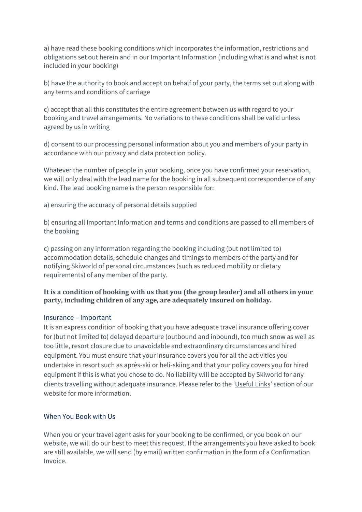a) have read these booking conditions which incorporates the information, restrictions and obligations set out herein and in our Important Information (including what is and what is not included in your booking)

b) have the authority to book and accept on behalf of your party, the terms set out along with any terms and conditions of carriage

c) accept that all this constitutes the entire agreement between us with regard to your booking and travel arrangements. No variations to these conditions shall be valid unless agreed by us in writing

d) consent to our processing personal information about you and members of your party in accordance with our privacy and data protection policy.

Whatever the number of people in your booking, once you have confirmed your reservation, we will only deal with the lead name for the booking in all subsequent correspondence of any kind. The lead booking name is the person responsible for:

a) ensuring the accuracy of personal details supplied

b) ensuring all Important Information and terms and conditions are passed to all members of the booking

c) passing on any information regarding the booking including (but not limited to) accommodation details, schedule changes and timings to members of the party and for notifying Skiworld of personal circumstances (such as reduced mobility or dietary requirements) of any member of the party.

# **It is a condition of booking with us that you (the group leader) and all others in your party, including children of any age, are adequately insured on holiday.**

#### Insurance – Important

It is an express condition of booking that you have adequate travel insurance offering cover for (but not limited to) delayed departure (outbound and inbound), too much snow as well as too little, resort closure due to unavoidable and extraordinary circumstances and hired equipment. You must ensure that your insurance covers you for all the activities you undertake in resort such as après-ski or heli-skiing and that your policy covers you for hired equipment if this is what you chose to do. No liability will be accepted by Skiworld for any clients travelling without adequate insurance. Please refer to the 'Useful Links' section of our website for more information.

## When You Book with Us

When you or your travel agent asks for your booking to be confirmed, or you book on our website, we will do our best to meet this request. If the arrangements you have asked to book are still available, we will send (by email) written confirmation in the form of a Confirmation Invoice.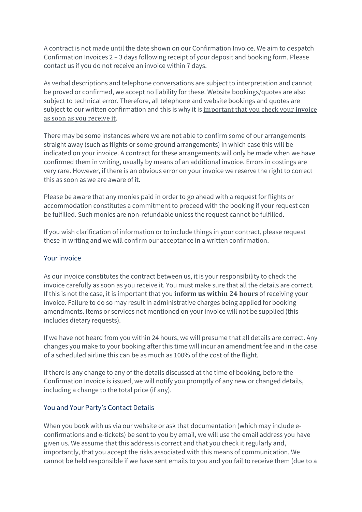A contract is not made until the date shown on our Confirmation Invoice. We aim to despatch Confirmation Invoices 2 – 3 days following receipt of your deposit and booking form. Please contact us if you do not receive an invoice within 7 days.

As verbal descriptions and telephone conversations are subject to interpretation and cannot be proved or confirmed, we accept no liability for these. Website bookings/quotes are also subject to technical error. Therefore, all telephone and website bookings and quotes are subject to our written confirmation and this is why it is important that you check your invoice as soon as you receive it.

There may be some instances where we are not able to confirm some of our arrangements straight away (such as flights or some ground arrangements) in which case this will be indicated on your invoice. A contract for these arrangements will only be made when we have confirmed them in writing, usually by means of an additional invoice. Errors in costings are very rare. However, if there is an obvious error on your invoice we reserve the right to correct this as soon as we are aware of it.

Please be aware that any monies paid in order to go ahead with a request for flights or accommodation constitutes a commitment to proceed with the booking if your request can be fulfilled. Such monies are non-refundable unless the request cannot be fulfilled.

If you wish clarification of information or to include things in your contract, please request these in writing and we will confirm our acceptance in a written confirmation.

### Your invoice

As our invoice constitutes the contract between us, it is your responsibility to check the invoice carefully as soon as you receive it. You must make sure that all the details are correct. If this is not the case, it is important that you **inform us within 24 hours** of receiving your invoice. Failure to do so may result in administrative charges being applied for booking amendments. Items or services not mentioned on your invoice will not be supplied (this includes dietary requests).

If we have not heard from you within 24 hours, we will presume that all details are correct. Any changes you make to your booking after this time will incur an amendment fee and in the case of a scheduled airline this can be as much as 100% of the cost of the flight.

If there is any change to any of the details discussed at the time of booking, before the Confirmation Invoice is issued, we will notify you promptly of any new or changed details, including a change to the total price (if any).

#### You and Your Party's Contact Details

When you book with us via our website or ask that documentation (which may include econfirmations and e-tickets) be sent to you by email, we will use the email address you have given us. We assume that this address is correct and that you check it regularly and, importantly, that you accept the risks associated with this means of communication. We cannot be held responsible if we have sent emails to you and you fail to receive them (due to a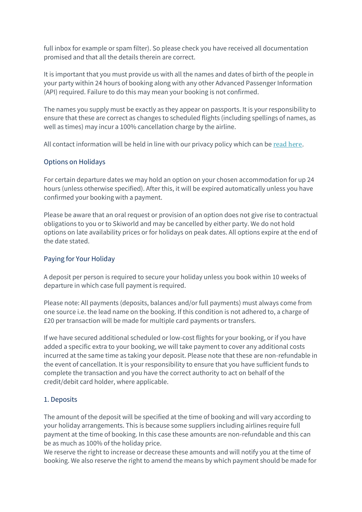full inbox for example or spam filter). So please check you have received all documentation promised and that all the details therein are correct.

It is important that you must provide us with all the names and dates of birth of the people in your party within 24 hours of booking along with any other Advanced Passenger Information (API) required. Failure to do this may mean your booking is not confirmed.

The names you supply must be exactly as they appear on passports. It is your responsibility to ensure that these are correct as changes to scheduled flights (including spellings of names, as well as times) may incur a 100% cancellation charge by the airline.

All contact information will be held in line with our privacy policy which can be [read](https://www.skiworld.co.uk/customer-services/Privacy-policy) here.

## Options on Holidays

For certain departure dates we may hold an option on your chosen accommodation for up 24 hours (unless otherwise specified). After this, it will be expired automatically unless you have confirmed your booking with a payment.

Please be aware that an oral request or provision of an option does not give rise to contractual obligations to you or to Skiworld and may be cancelled by either party. We do not hold options on late availability prices or for holidays on peak dates. All options expire at the end of the date stated.

# Paying for Your Holiday

A deposit per person is required to secure your holiday unless you book within 10 weeks of departure in which case full payment is required.

Please note: All payments (deposits, balances and/or full payments) must always come from one source i.e. the lead name on the booking. If this condition is not adhered to, a charge of £20 per transaction will be made for multiple card payments or transfers.

If we have secured additional scheduled or low-cost flights for your booking, or if you have added a specific extra to your booking, we will take payment to cover any additional costs incurred at the same time as taking your deposit. Please note that these are non-refundable in the event of cancellation. It is your responsibility to ensure that you have sufficient funds to complete the transaction and you have the correct authority to act on behalf of the credit/debit card holder, where applicable.

## 1. Deposits

The amount of the deposit will be specified at the time of booking and will vary according to your holiday arrangements. This is because some suppliers including airlines require full payment at the time of booking. In this case these amounts are non-refundable and this can be as much as 100% of the holiday price.

We reserve the right to increase or decrease these amounts and will notify you at the time of booking. We also reserve the right to amend the means by which payment should be made for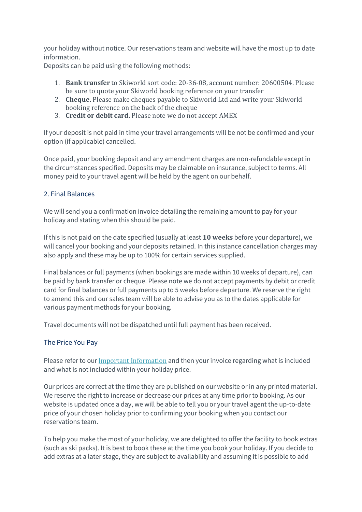your holiday without notice. Our reservations team and website will have the most up to date information.

Deposits can be paid using the following methods:

- 1. **Bank transfer** to Skiworld sort code: 20-36-08, account number: 20600504. Please be sure to quote your Skiworld booking reference on your transfer
- 2. **Cheque.** Please make cheques payable to Skiworld Ltd and write your Skiworld booking reference on the back of the cheque
- 3. **Credit or debit card.** Please note we do not accept AMEX

If your deposit is not paid in time your travel arrangements will be not be confirmed and your option (if applicable) cancelled.

Once paid, your booking deposit and any amendment charges are non-refundable except in the circumstances specified. Deposits may be claimable on insurance, subject to terms. All money paid to your travel agent will be held by the agent on our behalf.

# 2. Final Balances

We will send you a confirmation invoice detailing the remaining amount to pay for your holiday and stating when this should be paid.

If this is not paid on the date specified (usually at least **10 weeks** before your departure), we will cancel your booking and your deposits retained. In this instance cancellation charges may also apply and these may be up to 100% for certain services supplied.

Final balances or full payments (when bookings are made within 10 weeks of departure), can be paid by bank transfer or cheque. Please note we do not accept payments by debit or credit card for final balances or full payments up to 5 weeks before departure. We reserve the right to amend this and our sales team will be able to advise you as to the dates applicable for various payment methods for your booking.

Travel documents will not be dispatched until full payment has been received.

## The Price You Pay

Please refer to our Important [Information](https://www.skiworld.co.uk/customer-services/Important-information#whatsincluded) and then your invoice regarding what is included and what is not included within your holiday price.

Our prices are correct at the time they are published on our website or in any printed material. We reserve the right to increase or decrease our prices at any time prior to booking. As our website is updated once a day, we will be able to tell you or your travel agent the up-to-date price of your chosen holiday prior to confirming your booking when you contact our reservations team.

To help you make the most of your holiday, we are delighted to offer the facility to book extras (such as ski packs). It is best to book these at the time you book your holiday. If you decide to add extras at a later stage, they are subject to availability and assuming it is possible to add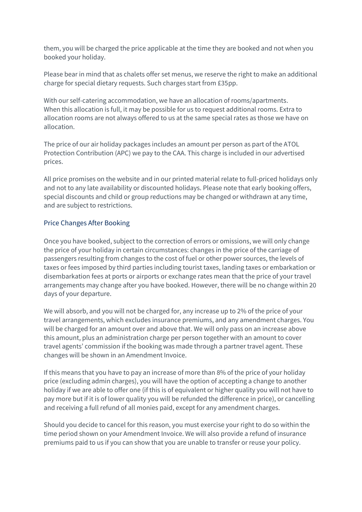them, you will be charged the price applicable at the time they are booked and not when you booked your holiday.

Please bear in mind that as chalets offer set menus, we reserve the right to make an additional charge for special dietary requests. Such charges start from £35pp.

With our self-catering accommodation, we have an allocation of rooms/apartments. When this allocation is full, it may be possible for us to request additional rooms. Extra to allocation rooms are not always offered to us at the same special rates as those we have on allocation.

The price of our air holiday packages includes an amount per person as part of the ATOL Protection Contribution (APC) we pay to the CAA. This charge is included in our advertised prices.

All price promises on the website and in our printed material relate to full-priced holidays only and not to any late availability or discounted holidays. Please note that early booking offers, special discounts and child or group reductions may be changed or withdrawn at any time, and are subject to restrictions.

# Price Changes After Booking

Once you have booked, subject to the correction of errors or omissions, we will only change the price of your holiday in certain circumstances: changes in the price of the carriage of passengers resulting from changes to the cost of fuel or other power sources, the levels of taxes or fees imposed by third parties including tourist taxes, landing taxes or embarkation or disembarkation fees at ports or airports or exchange rates mean that the price of your travel arrangements may change after you have booked. However, there will be no change within 20 days of your departure.

We will absorb, and you will not be charged for, any increase up to 2% of the price of your travel arrangements, which excludes insurance premiums, and any amendment charges. You will be charged for an amount over and above that. We will only pass on an increase above this amount, plus an administration charge per person together with an amount to cover travel agents' commission if the booking was made through a partner travel agent. These changes will be shown in an Amendment Invoice.

If this means that you have to pay an increase of more than 8% of the price of your holiday price (excluding admin charges), you will have the option of accepting a change to another holiday if we are able to offer one (if this is of equivalent or higher quality you will not have to pay more but if it is of lower quality you will be refunded the difference in price), or cancelling and receiving a full refund of all monies paid, except for any amendment charges.

Should you decide to cancel for this reason, you must exercise your right to do so within the time period shown on your Amendment Invoice. We will also provide a refund of insurance premiums paid to us if you can show that you are unable to transfer or reuse your policy.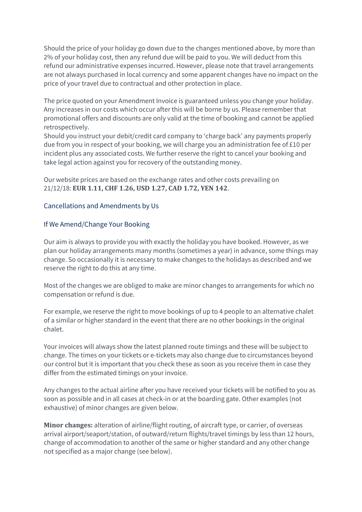Should the price of your holiday go down due to the changes mentioned above, by more than 2% of your holiday cost, then any refund due will be paid to you. We will deduct from this refund our administrative expenses incurred. However, please note that travel arrangements are not always purchased in local currency and some apparent changes have no impact on the price of your travel due to contractual and other protection in place.

The price quoted on your Amendment Invoice is guaranteed unless you change your holiday. Any increases in our costs which occur after this will be borne by us. Please remember that promotional offers and discounts are only valid at the time of booking and cannot be applied retrospectively.

Should you instruct your debit/credit card company to 'charge back' any payments properly due from you in respect of your booking, we will charge you an administration fee of £10 per incident plus any associated costs. We further reserve the right to cancel your booking and take legal action against you for recovery of the outstanding money.

Our website prices are based on the exchange rates and other costs prevailing on 21/12/18: **EUR 1.11, CHF 1.26, USD 1.27, CAD 1.72, YEN 142**.

## Cancellations and Amendments by Us

## If We Amend/Change Your Booking

Our aim is always to provide you with exactly the holiday you have booked. However, as we plan our holiday arrangements many months (sometimes a year) in advance, some things may change. So occasionally it is necessary to make changes to the holidays as described and we reserve the right to do this at any time.

Most of the changes we are obliged to make are minor changes to arrangements for which no compensation or refund is due.

For example, we reserve the right to move bookings of up to 4 people to an alternative chalet of a similar or higher standard in the event that there are no other bookings in the original chalet.

Your invoices will always show the latest planned route timings and these will be subject to change. The times on your tickets or e-tickets may also change due to circumstances beyond our control but it is important that you check these as soon as you receive them in case they differ from the estimated timings on your invoice.

Any changes to the actual airline after you have received your tickets will be notified to you as soon as possible and in all cases at check-in or at the boarding gate. Other examples (not exhaustive) of minor changes are given below.

**Minor changes:** alteration of airline/flight routing, of aircraft type, or carrier, of overseas arrival airport/seaport/station, of outward/return flights/travel timings by less than 12 hours, change of accommodation to another of the same or higher standard and any other change not specified as a major change (see below).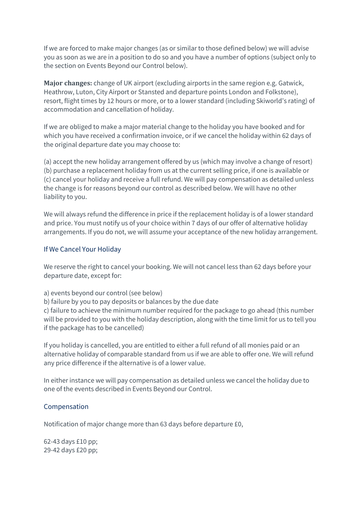If we are forced to make major changes (as or similar to those defined below) we will advise you as soon as we are in a position to do so and you have a number of options (subject only to the section on Events Beyond our Control below).

**Major changes:** change of UK airport (excluding airports in the same region e.g. Gatwick, Heathrow, Luton, City Airport or Stansted and departure points London and Folkstone), resort, flight times by 12 hours or more, or to a lower standard (including Skiworld's rating) of accommodation and cancellation of holiday.

If we are obliged to make a major material change to the holiday you have booked and for which you have received a confirmation invoice, or if we cancel the holiday within 62 days of the original departure date you may choose to:

(a) accept the new holiday arrangement offered by us (which may involve a change of resort) (b) purchase a replacement holiday from us at the current selling price, if one is available or (c) cancel your holiday and receive a full refund. We will pay compensation as detailed unless the change is for reasons beyond our control as described below. We will have no other liability to you.

We will always refund the difference in price if the replacement holiday is of a lower standard and price. You must notify us of your choice within 7 days of our offer of alternative holiday arrangements. If you do not, we will assume your acceptance of the new holiday arrangement.

# If We Cancel Your Holiday

We reserve the right to cancel your booking. We will not cancel less than 62 days before your departure date, except for:

- a) events beyond our control (see below)
- b) failure by you to pay deposits or balances by the due date

c) failure to achieve the minimum number required for the package to go ahead (this number will be provided to you with the holiday description, along with the time limit for us to tell you if the package has to be cancelled)

If you holiday is cancelled, you are entitled to either a full refund of all monies paid or an alternative holiday of comparable standard from us if we are able to offer one. We will refund any price difference if the alternative is of a lower value.

In either instance we will pay compensation as detailed unless we cancel the holiday due to one of the events described in Events Beyond our Control.

## Compensation

Notification of major change more than 63 days before departure £0,

62-43 days £10 pp; 29-42 days £20 pp;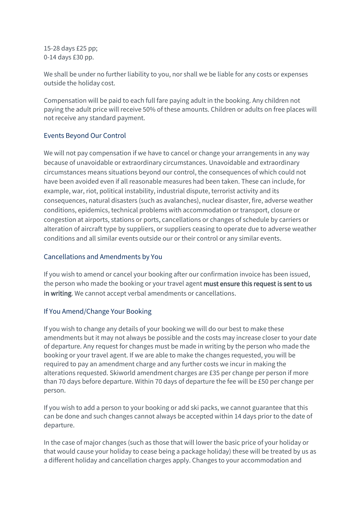15-28 days £25 pp; 0-14 days £30 pp.

We shall be under no further liability to you, nor shall we be liable for any costs or expenses outside the holiday cost.

Compensation will be paid to each full fare paying adult in the booking. Any children not paying the adult price will receive 50% of these amounts. Children or adults on free places will not receive any standard payment.

# Events Beyond Our Control

We will not pay compensation if we have to cancel or change your arrangements in any way because of unavoidable or extraordinary circumstances. Unavoidable and extraordinary circumstances means situations beyond our control, the consequences of which could not have been avoided even if all reasonable measures had been taken. These can include, for example, war, riot, political instability, industrial dispute, terrorist activity and its consequences, natural disasters (such as avalanches), nuclear disaster, fire, adverse weather conditions, epidemics, technical problems with accommodation or transport, closure or congestion at airports, stations or ports, cancellations or changes of schedule by carriers or alteration of aircraft type by suppliers, or suppliers ceasing to operate due to adverse weather conditions and all similar events outside our or their control or any similar events.

## Cancellations and Amendments by You

If you wish to amend or cancel your booking after our confirmation invoice has been issued, the person who made the booking or your travel agent must ensure this request is sent to us in writing. We cannot accept verbal amendments or cancellations.

## If You Amend/Change Your Booking

If you wish to change any details of your booking we will do our best to make these amendments but it may not always be possible and the costs may increase closer to your date of departure. Any request for changes must be made in writing by the person who made the booking or your travel agent. If we are able to make the changes requested, you will be required to pay an amendment charge and any further costs we incur in making the alterations requested. Skiworld amendment charges are £35 per change per person if more than 70 days before departure. Within 70 days of departure the fee will be £50 per change per person.

If you wish to add a person to your booking or add ski packs, we cannot guarantee that this can be done and such changes cannot always be accepted within 14 days prior to the date of departure.

In the case of major changes (such as those that will lower the basic price of your holiday or that would cause your holiday to cease being a package holiday) these will be treated by us as a different holiday and cancellation charges apply. Changes to your accommodation and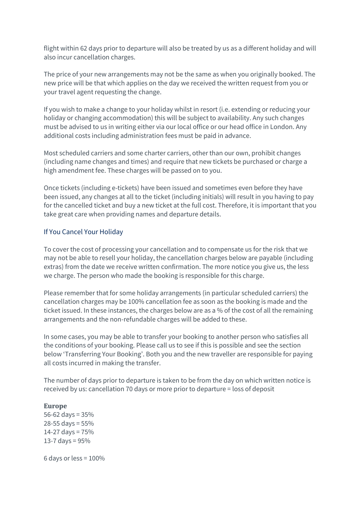flight within 62 days prior to departure will also be treated by us as a different holiday and will also incur cancellation charges.

The price of your new arrangements may not be the same as when you originally booked. The new price will be that which applies on the day we received the written request from you or your travel agent requesting the change.

If you wish to make a change to your holiday whilst in resort (i.e. extending or reducing your holiday or changing accommodation) this will be subject to availability. Any such changes must be advised to us in writing either via our local office or our head office in London. Any additional costs including administration fees must be paid in advance.

Most scheduled carriers and some charter carriers, other than our own, prohibit changes (including name changes and times) and require that new tickets be purchased or charge a high amendment fee. These charges will be passed on to you.

Once tickets (including e-tickets) have been issued and sometimes even before they have been issued, any changes at all to the ticket (including initials) will result in you having to pay for the cancelled ticket and buy a new ticket at the full cost. Therefore, it is important that you take great care when providing names and departure details.

## If You Cancel Your Holiday

To cover the cost of processing your cancellation and to compensate us for the risk that we may not be able to resell your holiday, the cancellation charges below are payable (including extras) from the date we receive written confirmation. The more notice you give us, the less we charge. The person who made the booking is responsible for this charge.

Please remember that for some holiday arrangements (in particular scheduled carriers) the cancellation charges may be 100% cancellation fee as soon as the booking is made and the ticket issued. In these instances, the charges below are as a % of the cost of all the remaining arrangements and the non-refundable charges will be added to these.

In some cases, you may be able to transfer your booking to another person who satisfies all the conditions of your booking. Please call us to see if this is possible and see the section below 'Transferring Your Booking'. Both you and the new traveller are responsible for paying all costs incurred in making the transfer.

The number of days prior to departure is taken to be from the day on which written notice is received by us: cancellation 70 days or more prior to departure = loss of deposit

## **Europe**

56-62 days = 35% 28-55 days = 55% 14-27 days = 75% 13-7 days = 95%

6 days or less = 100%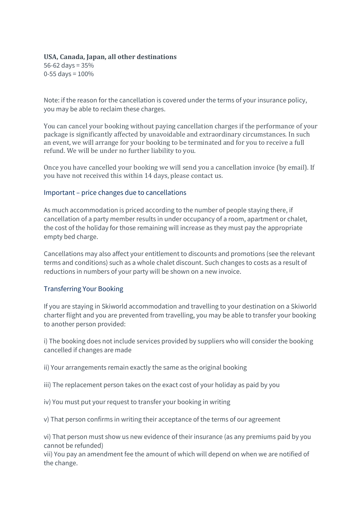### **USA, Canada, Japan, all other destinations** 56-62 days = 35%  $0 - 55$  days =  $100\%$

Note: if the reason for the cancellation is covered under the terms of your insurance policy, you may be able to reclaim these charges.

You can cancel your booking without paying cancellation charges if the performance of your package is significantly affected by unavoidable and extraordinary circumstances. In such an event, we will arrange for your booking to be terminated and for you to receive a full refund. We will be under no further liability to you.

Once you have cancelled your booking we will send you a cancellation invoice (by email). If you have not received this within 14 days, please contact us.

#### Important – price changes due to cancellations

As much accommodation is priced according to the number of people staying there, if cancellation of a party member results in under occupancy of a room, apartment or chalet, the cost of the holiday for those remaining will increase as they must pay the appropriate empty bed charge.

Cancellations may also affect your entitlement to discounts and promotions (see the relevant terms and conditions) such as a whole chalet discount. Such changes to costs as a result of reductions in numbers of your party will be shown on a new invoice.

#### Transferring Your Booking

If you are staying in Skiworld accommodation and travelling to your destination on a Skiworld charter flight and you are prevented from travelling, you may be able to transfer your booking to another person provided:

i) The booking does not include services provided by suppliers who will consider the booking cancelled if changes are made

ii) Your arrangements remain exactly the same as the original booking

- iii) The replacement person takes on the exact cost of your holiday as paid by you
- iv) You must put your request to transfer your booking in writing

v) That person confirms in writing their acceptance of the terms of our agreement

vi) That person must show us new evidence of their insurance (as any premiums paid by you cannot be refunded)

vii) You pay an amendment fee the amount of which will depend on when we are notified of the change.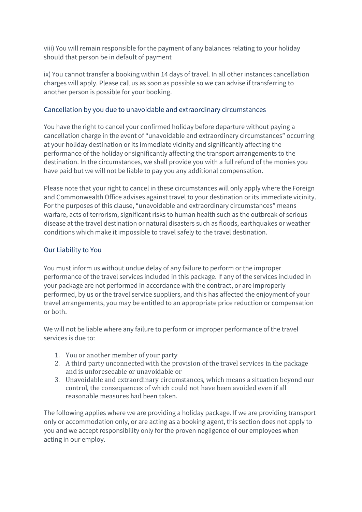viii) You will remain responsible for the payment of any balances relating to your holiday should that person be in default of payment

ix) You cannot transfer a booking within 14 days of travel. In all other instances cancellation charges will apply. Please call us as soon as possible so we can advise if transferring to another person is possible for your booking.

# Cancellation by you due to unavoidable and extraordinary circumstances

You have the right to cancel your confirmed holiday before departure without paying a cancellation charge in the event of "unavoidable and extraordinary circumstances" occurring at your holiday destination or its immediate vicinity and significantly affecting the performance of the holiday or significantly affecting the transport arrangements to the destination. In the circumstances, we shall provide you with a full refund of the monies you have paid but we will not be liable to pay you any additional compensation.

Please note that your right to cancel in these circumstances will only apply where the Foreign and Commonwealth Office advises against travel to your destination or its immediate vicinity. For the purposes of this clause, "unavoidable and extraordinary circumstances" means warfare, acts of terrorism, significant risks to human health such as the outbreak of serious disease at the travel destination or natural disasters such as floods, earthquakes or weather conditions which make it impossible to travel safely to the travel destination.

# Our Liability to You

You must inform us without undue delay of any failure to perform or the improper performance of the travel services included in this package. If any of the services included in your package are not performed in accordance with the contract, or are improperly performed, by us or the travel service suppliers, and this has affected the enjoyment of your travel arrangements, you may be entitled to an appropriate price reduction or compensation or both.

We will not be liable where any failure to perform or improper performance of the travel services is due to:

- 1. You or another member of your party
- 2. A third party unconnected with the provision of the travel services in the package and is unforeseeable or unavoidable or
- 3. Unavoidable and extraordinary circumstances, which means a situation beyond our control, the consequences of which could not have been avoided even if all reasonable measures had been taken.

The following applies where we are providing a holiday package. If we are providing transport only or accommodation only, or are acting as a booking agent, this section does not apply to you and we accept responsibility only for the proven negligence of our employees when acting in our employ.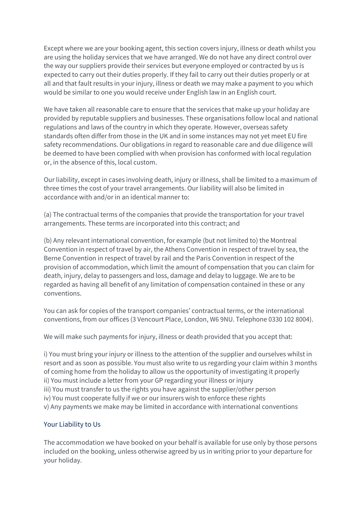Except where we are your booking agent, this section covers injury, illness or death whilst you are using the holiday services that we have arranged. We do not have any direct control over the way our suppliers provide their services but everyone employed or contracted by us is expected to carry out their duties properly. If they fail to carry out their duties properly or at all and that fault results in your injury, illness or death we may make a payment to you which would be similar to one you would receive under English law in an English court.

We have taken all reasonable care to ensure that the services that make up your holiday are provided by reputable suppliers and businesses. These organisations follow local and national regulations and laws of the country in which they operate. However, overseas safety standards often differ from those in the UK and in some instances may not yet meet EU fire safety recommendations. Our obligations in regard to reasonable care and due diligence will be deemed to have been complied with when provision has conformed with local regulation or, in the absence of this, local custom.

Our liability, except in cases involving death, injury or illness, shall be limited to a maximum of three times the cost of your travel arrangements. Our liability will also be limited in accordance with and/or in an identical manner to:

(a) The contractual terms of the companies that provide the transportation for your travel arrangements. These terms are incorporated into this contract; and

(b) Any relevant international convention, for example (but not limited to) the Montreal Convention in respect of travel by air, the Athens Convention in respect of travel by sea, the Berne Convention in respect of travel by rail and the Paris Convention in respect of the provision of accommodation, which limit the amount of compensation that you can claim for death, injury, delay to passengers and loss, damage and delay to luggage. We are to be regarded as having all benefit of any limitation of compensation contained in these or any conventions.

You can ask for copies of the transport companies' contractual terms, or the international conventions, from our offices (3 Vencourt Place, London, W6 9NU. Telephone 0330 102 8004).

We will make such payments for injury, illness or death provided that you accept that:

i) You must bring your injury or illness to the attention of the supplier and ourselves whilst in resort and as soon as possible. You must also write to us regarding your claim within 3 months of coming home from the holiday to allow us the opportunity of investigating it properly ii) You must include a letter from your GP regarding your illness or injury iii) You must transfer to us the rights you have against the supplier/other person iv) You must cooperate fully if we or our insurers wish to enforce these rights v) Any payments we make may be limited in accordance with international conventions

## Your Liability to Us

The accommodation we have booked on your behalf is available for use only by those persons included on the booking, unless otherwise agreed by us in writing prior to your departure for your holiday.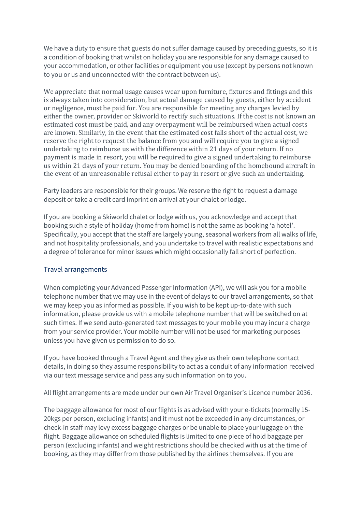We have a duty to ensure that guests do not suffer damage caused by preceding guests, so it is a condition of booking that whilst on holiday you are responsible for any damage caused to your accommodation, or other facilities or equipment you use (except by persons not known to you or us and unconnected with the contract between us).

We appreciate that normal usage causes wear upon furniture, fixtures and fittings and this is always taken into consideration, but actual damage caused by guests, either by accident or negligence, must be paid for. You are responsible for meeting any charges levied by either the owner, provider or Skiworld to rectify such situations. If the cost is not known an estimated cost must be paid, and any overpayment will be reimbursed when actual costs are known. Similarly, in the event that the estimated cost falls short of the actual cost, we reserve the right to request the balance from you and will require you to give a signed undertaking to reimburse us with the difference within 21 days of your return. If no payment is made in resort, you will be required to give a signed undertaking to reimburse us within 21 days of your return. You may be denied boarding of the homebound aircraft in the event of an unreasonable refusal either to pay in resort or give such an undertaking.

Party leaders are responsible for their groups. We reserve the right to request a damage deposit or take a credit card imprint on arrival at your chalet or lodge.

If you are booking a Skiworld chalet or lodge with us, you acknowledge and accept that booking such a style of holiday (home from home) is not the same as booking 'a hotel'. Specifically, you accept that the staff are largely young, seasonal workers from all walks of life, and not hospitality professionals, and you undertake to travel with realistic expectations and a degree of tolerance for minor issues which might occasionally fall short of perfection.

## Travel arrangements

When completing your Advanced Passenger Information (API), we will ask you for a mobile telephone number that we may use in the event of delays to our travel arrangements, so that we may keep you as informed as possible. If you wish to be kept up-to-date with such information, please provide us with a mobile telephone number that will be switched on at such times. If we send auto-generated text messages to your mobile you may incur a charge from your service provider. Your mobile number will not be used for marketing purposes unless you have given us permission to do so.

If you have booked through a Travel Agent and they give us their own telephone contact details, in doing so they assume responsibility to act as a conduit of any information received via our text message service and pass any such information on to you.

All flight arrangements are made under our own Air Travel Organiser's Licence number 2036.

The baggage allowance for most of our flights is as advised with your e-tickets (normally 15- 20kgs per person, excluding infants) and it must not be exceeded in any circumstances, or check-in staff may levy excess baggage charges or be unable to place your luggage on the flight. Baggage allowance on scheduled flights is limited to one piece of hold baggage per person (excluding infants) and weight restrictions should be checked with us at the time of booking, as they may differ from those published by the airlines themselves. If you are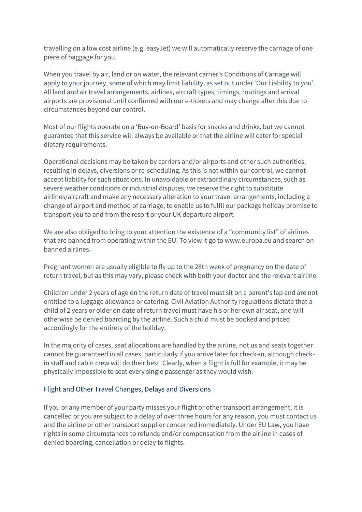travelling on a low cost airline (e.g. easyJet) we will automatically reserve the carriage of one piece of baggage for you.

When you travel by air, land or on water, the relevant carrier's Conditions of Carriage will apply to your journey, some of which may limit liability, as set out under 'Our Liability to you'. All land and air travel arrangements, airlines, aircraft types, timings, routings and arrival airports are provisional until confirmed with our e-tickets and may change after this due to circumstances beyond our control.

Most of our flights operate on a 'Buy-on-Board' basis for snacks and drinks, but we cannot guarantee that this service will always be available or that the airline will cater for special dietary requirements.

Operational decisions may be taken by carriers and/or airports and other such authorities, resulting in delays, diversions or re-scheduling. As this is not within our control, we cannot accept liability for such situations. In unavoidable or extraordinary circumstances, such as severe weather conditions or industrial disputes, we reserve the right to substitute airlines/aircraft and make any necessary alteration to your travel arrangements, including a change of airport and method of carriage, to enable us to fulfil our package holiday promise to transport you to and from the resort or your UK departure airport.

We are also obliged to bring to your attention the existence of a "community list" of airlines that are banned from operating within the EU. To view it go to www.europa.eu and search on banned airlines.

Pregnant women are usually eligible to fly up to the 28th week of pregnancy on the date of return travel, but as this may vary, please check with both your doctor and the relevant airline.

Children under 2 years of age on the return date of travel must sit on a parent's lap and are not entitled to a luggage allowance or catering. Civil Aviation Authority regulations dictate that a child of 2 years or older on date of return travel must have his or her own air seat, and will otherwise be denied boarding by the airline. Such a child must be booked and priced accordingly for the entirety of the holiday.

In the majority of cases, seat allocations are handled by the airline, not us and seats together cannot be guaranteed in all cases, particularly if you arrive later for check-in, although checkin staff and cabin crew will do their best. Clearly, when a flight is full for example, it may be physically impossible to seat every single passenger as they would wish.

## Flight and Other Travel Changes, Delays and Diversions

If you or any member of your party misses your flight or other transport arrangement, it is cancelled or you are subject to a delay of over three hours for any reason, you must contact us and the airline or other transport supplier concerned immediately. Under EU Law, you have rights in some circumstances to refunds and/or compensation from the airline in cases of denied boarding, cancellation or delay to flights.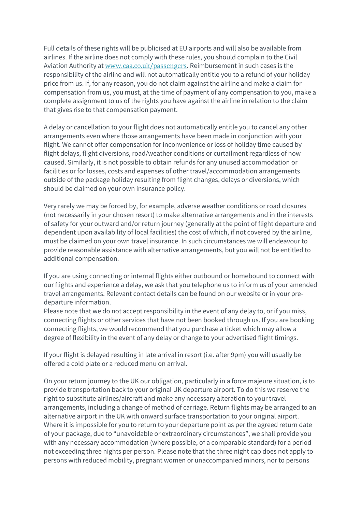Full details of these rights will be publicised at EU airports and will also be available from airlines. If the airline does not comply with these rules, you should complain to the Civil Aviation Authority at [www.caa.co.uk/passengers](http://www.caa.co.uk/passengers). Reimbursement in such cases is the responsibility of the airline and will not automatically entitle you to a refund of your holiday price from us. If, for any reason, you do not claim against the airline and make a claim for compensation from us, you must, at the time of payment of any compensation to you, make a complete assignment to us of the rights you have against the airline in relation to the claim that gives rise to that compensation payment.

A delay or cancellation to your flight does not automatically entitle you to cancel any other arrangements even where those arrangements have been made in conjunction with your flight. We cannot offer compensation for inconvenience or loss of holiday time caused by flight delays, flight diversions, road/weather conditions or curtailment regardless of how caused. Similarly, it is not possible to obtain refunds for any unused accommodation or facilities or for losses, costs and expenses of other travel/accommodation arrangements outside of the package holiday resulting from flight changes, delays or diversions, which should be claimed on your own insurance policy.

Very rarely we may be forced by, for example, adverse weather conditions or road closures (not necessarily in your chosen resort) to make alternative arrangements and in the interests of safety for your outward and/or return journey (generally at the point of flight departure and dependent upon availability of local facilities) the cost of which, if not covered by the airline, must be claimed on your own travel insurance. In such circumstances we will endeavour to provide reasonable assistance with alternative arrangements, but you will not be entitled to additional compensation.

If you are using connecting or internal flights either outbound or homebound to connect with our flights and experience a delay, we ask that you telephone us to inform us of your amended travel arrangements. Relevant contact details can be found on our website or in your predeparture information.

Please note that we do not accept responsibility in the event of any delay to, or if you miss, connecting flights or other services that have not been booked through us. If you are booking connecting flights, we would recommend that you purchase a ticket which may allow a degree of flexibility in the event of any delay or change to your advertised flight timings.

If your flight is delayed resulting in late arrival in resort (i.e. after 9pm) you will usually be offered a cold plate or a reduced menu on arrival.

On your return journey to the UK our obligation, particularly in a force majeure situation, is to provide transportation back to your original UK departure airport. To do this we reserve the right to substitute airlines/aircraft and make any necessary alteration to your travel arrangements, including a change of method of carriage. Return flights may be arranged to an alternative airport in the UK with onward surface transportation to your original airport. Where it is impossible for you to return to your departure point as per the agreed return date of your package, due to "unavoidable or extraordinary circumstances", we shall provide you with any necessary accommodation (where possible, of a comparable standard) for a period not exceeding three nights per person. Please note that the three night cap does not apply to persons with reduced mobility, pregnant women or unaccompanied minors, nor to persons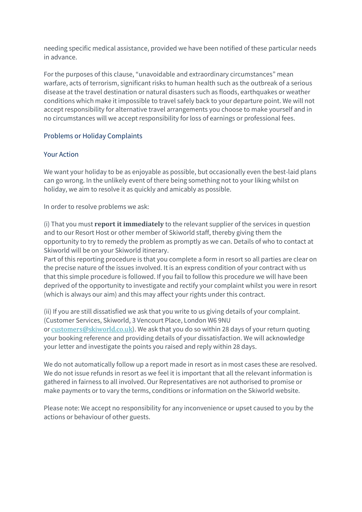needing specific medical assistance, provided we have been notified of these particular needs in advance.

For the purposes of this clause, "unavoidable and extraordinary circumstances" mean warfare, acts of terrorism, significant risks to human health such as the outbreak of a serious disease at the travel destination or natural disasters such as floods, earthquakes or weather conditions which make it impossible to travel safely back to your departure point. We will not accept responsibility for alternative travel arrangements you choose to make yourself and in no circumstances will we accept responsibility for loss of earnings or professional fees.

# Problems or Holiday Complaints

## Your Action

We want your holiday to be as enjoyable as possible, but occasionally even the best-laid plans can go wrong. In the unlikely event of there being something not to your liking whilst on holiday, we aim to resolve it as quickly and amicably as possible.

In order to resolve problems we ask:

(i) That you must **report it immediately** to the relevant supplier of the services in question and to our Resort Host or other member of Skiworld staff, thereby giving them the opportunity to try to remedy the problem as promptly as we can. Details of who to contact at Skiworld will be on your Skiworld itinerary.

Part of this reporting procedure is that you complete a form in resort so all parties are clear on the precise nature of the issues involved. It is an express condition of your contract with us that this simple procedure is followed. If you fail to follow this procedure we will have been deprived of the opportunity to investigate and rectify your complaint whilst you were in resort (which is always our aim) and this may affect your rights under this contract.

(ii) If you are still dissatisfied we ask that you write to us giving details of your complaint. (Customer Services, Skiworld, 3 Vencourt Place, London W6 9NU or [customers@skiworld.co.uk](mailto:customers@skiworld.co.uk)). We ask that you do so within 28 days of your return quoting your booking reference and providing details of your dissatisfaction. We will acknowledge your letter and investigate the points you raised and reply within 28 days.

We do not automatically follow up a report made in resort as in most cases these are resolved. We do not issue refunds in resort as we feel it is important that all the relevant information is gathered in fairness to all involved. Our Representatives are not authorised to promise or make payments or to vary the terms, conditions or information on the Skiworld website.

Please note: We accept no responsibility for any inconvenience or upset caused to you by the actions or behaviour of other guests.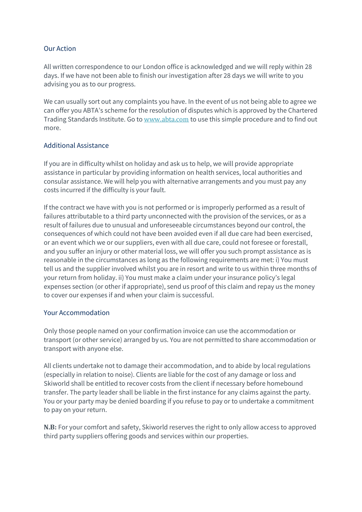# Our Action

All written correspondence to our London office is acknowledged and we will reply within 28 days. If we have not been able to finish our investigation after 28 days we will write to you advising you as to our progress.

We can usually sort out any complaints you have. In the event of us not being able to agree we can offer you ABTA's scheme for the resolution of disputes which is approved by the Chartered Trading Standards Institute. Go to [www.abta.com](http://www.abta.com/) to use this simple procedure and to find out more.

## Additional Assistance

If you are in difficulty whilst on holiday and ask us to help, we will provide appropriate assistance in particular by providing information on health services, local authorities and consular assistance. We will help you with alternative arrangements and you must pay any costs incurred if the difficulty is your fault.

If the contract we have with you is not performed or is improperly performed as a result of failures attributable to a third party unconnected with the provision of the services, or as a result of failures due to unusual and unforeseeable circumstances beyond our control, the consequences of which could not have been avoided even if all due care had been exercised, or an event which we or our suppliers, even with all due care, could not foresee or forestall, and you suffer an injury or other material loss, we will offer you such prompt assistance as is reasonable in the circumstances as long as the following requirements are met: i) You must tell us and the supplier involved whilst you are in resort and write to us within three months of your return from holiday. ii) You must make a claim under your insurance policy's legal expenses section (or other if appropriate), send us proof of this claim and repay us the money to cover our expenses if and when your claim is successful.

#### Your Accommodation

Only those people named on your confirmation invoice can use the accommodation or transport (or other service) arranged by us. You are not permitted to share accommodation or transport with anyone else.

All clients undertake not to damage their accommodation, and to abide by local regulations (especially in relation to noise). Clients are liable for the cost of any damage or loss and Skiworld shall be entitled to recover costs from the client if necessary before homebound transfer. The party leader shall be liable in the first instance for any claims against the party. You or your party may be denied boarding if you refuse to pay or to undertake a commitment to pay on your return.

**N.B:** For your comfort and safety, Skiworld reserves the right to only allow access to approved third party suppliers offering goods and services within our properties.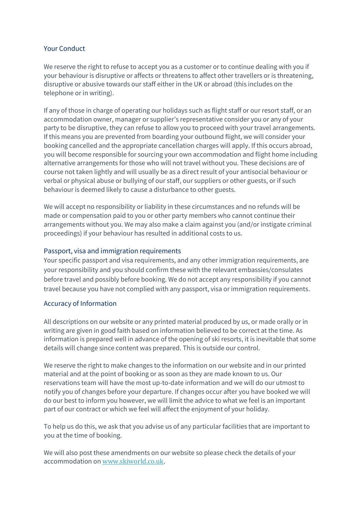## Your Conduct

We reserve the right to refuse to accept you as a customer or to continue dealing with you if your behaviour is disruptive or affects or threatens to affect other travellers or is threatening, disruptive or abusive towards our staff either in the UK or abroad (this includes on the telephone or in writing).

If any of those in charge of operating our holidays such as flight staff or our resort staff, or an accommodation owner, manager or supplier's representative consider you or any of your party to be disruptive, they can refuse to allow you to proceed with your travel arrangements. If this means you are prevented from boarding your outbound flight, we will consider your booking cancelled and the appropriate cancellation charges will apply. If this occurs abroad, you will become responsible for sourcing your own accommodation and flight home including alternative arrangements for those who will not travel without you. These decisions are of course not taken lightly and will usually be as a direct result of your antisocial behaviour or verbal or physical abuse or bullying of our staff, our suppliers or other guests, or if such behaviour is deemed likely to cause a disturbance to other guests.

We will accept no responsibility or liability in these circumstances and no refunds will be made or compensation paid to you or other party members who cannot continue their arrangements without you. We may also make a claim against you (and/or instigate criminal proceedings) if your behaviour has resulted in additional costs to us.

### Passport, visa and immigration requirements

Your specific passport and visa requirements, and any other immigration requirements, are your responsibility and you should confirm these with the relevant embassies/consulates before travel and possibly before booking. We do not accept any responsibility if you cannot travel because you have not complied with any passport, visa or immigration requirements.

## Accuracy of Information

All descriptions on our website or any printed material produced by us, or made orally or in writing are given in good faith based on information believed to be correct at the time. As information is prepared well in advance of the opening of ski resorts, it is inevitable that some details will change since content was prepared. This is outside our control.

We reserve the right to make changes to the information on our website and in our printed material and at the point of booking or as soon as they are made known to us. Our reservations team will have the most up-to-date information and we will do our utmost to notify you of changes before your departure. If changes occur after you have booked we will do our best to inform you however, we will limit the advice to what we feel is an important part of our contract or which we feel will affect the enjoyment of your holiday.

To help us do this, we ask that you advise us of any particular facilities that are important to you at the time of booking.

We will also post these amendments on our website so please check the details of your accommodation on [www.skiworld.co.uk](https://www.skiworld.co.uk/).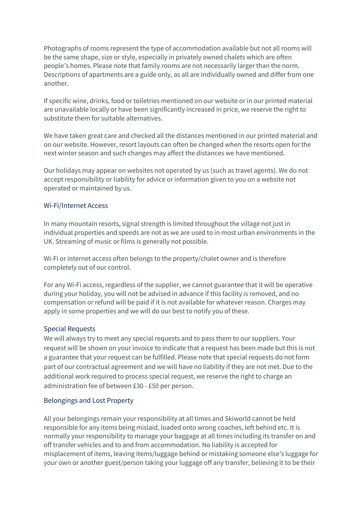Photographs of rooms represent the type of accommodation available but not all rooms will be the same shape, size or style, especially in privately owned chalets which are often people's homes. Please note that family rooms are not necessarily larger than the norm. Descriptions of apartments are a guide only, as all are individually owned and differ from one another.

If specific wine, drinks, food or toiletries mentioned on our website or in our printed material are unavailable locally or have been significantly increased in price, we reserve the right to substitute them for suitable alternatives.

We have taken great care and checked all the distances mentioned in our printed material and on our website. However, resort layouts can often be changed when the resorts open for the next winter season and such changes may affect the distances we have mentioned.

Our holidays may appear on websites not operated by us (such as travel agents). We do not accept responsibility or liability for advice or information given to you on a website not operated or maintained by us.

### Wi-Fi/Internet Access

In many mountain resorts, signal strength is limited throughout the village not just in individual properties and speeds are not as we are used to in most urban environments in the UK. Streaming of music or films is generally not possible.

Wi-Fi or internet access often belongs to the property/chalet owner and is therefore completely out of our control.

For any Wi-Fi access, regardless of the supplier, we cannot guarantee that it will be operative during your holiday, you will not be advised in advance if this facility is removed, and no compensation or refund will be paid if it is not available for whatever reason. Charges may apply in some properties and we will do our best to notify you of these.

#### Special Requests

We will always try to meet any special requests and to pass them to our suppliers. Your request will be shown on your invoice to indicate that a request has been made but this is not a guarantee that your request can be fulfilled. Please note that special requests do not form part of our contractual agreement and we will have no liability if they are not met. Due to the additional work required to process special request, we reserve the right to charge an administration fee of between £30 - £50 per person.

## Belongings and Lost Property

All your belongings remain your responsibility at all times and Skiworld cannot be held responsible for any items being mislaid, loaded onto wrong coaches, left behind etc. It is normally your responsibility to manage your baggage at all times including its transfer on and off transfer vehicles and to and from accommodation. No liability is accepted for misplacement of items, leaving items/luggage behind or mistaking someone else's luggage for your own or another guest/person taking your luggage off any transfer, believing it to be their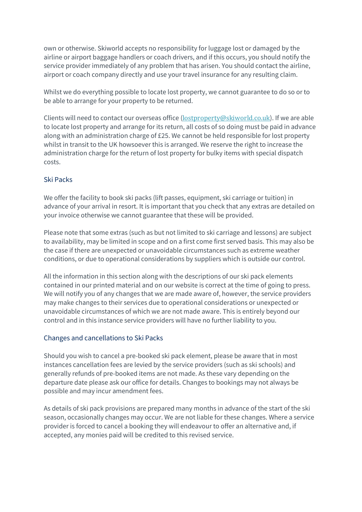own or otherwise. Skiworld accepts no responsibility for luggage lost or damaged by the airline or airport baggage handlers or coach drivers, and if this occurs, you should notify the service provider immediately of any problem that has arisen. You should contact the airline, airport or coach company directly and use your travel insurance for any resulting claim.

Whilst we do everything possible to locate lost property, we cannot guarantee to do so or to be able to arrange for your property to be returned.

Clients will need to contact our overseas office ([lostproperty@skiworld.co.uk](mailto:lostproperty@skiworld.co.uk)). If we are able to locate lost property and arrange for its return, all costs of so doing must be paid in advance along with an administration charge of £25. We cannot be held responsible for lost property whilst in transit to the UK howsoever this is arranged. We reserve the right to increase the administration charge for the return of lost property for bulky items with special dispatch costs.

### Ski Packs

We offer the facility to book ski packs (lift passes, equipment, ski carriage or tuition) in advance of your arrival in resort. It is important that you check that any extras are detailed on your invoice otherwise we cannot guarantee that these will be provided.

Please note that some extras (such as but not limited to ski carriage and lessons) are subject to availability, may be limited in scope and on a first come first served basis. This may also be the case if there are unexpected or unavoidable circumstances such as extreme weather conditions, or due to operational considerations by suppliers which is outside our control.

All the information in this section along with the descriptions of our ski pack elements contained in our printed material and on our website is correct at the time of going to press. We will notify you of any changes that we are made aware of, however, the service providers may make changes to their services due to operational considerations or unexpected or unavoidable circumstances of which we are not made aware. This is entirely beyond our control and in this instance service providers will have no further liability to you.

## Changes and cancellations to Ski Packs

Should you wish to cancel a pre-booked ski pack element, please be aware that in most instances cancellation fees are levied by the service providers (such as ski schools) and generally refunds of pre-booked items are not made. As these vary depending on the departure date please ask our office for details. Changes to bookings may not always be possible and may incur amendment fees.

As details of ski pack provisions are prepared many months in advance of the start of the ski season, occasionally changes may occur. We are not liable for these changes. Where a service provider is forced to cancel a booking they will endeavour to offer an alternative and, if accepted, any monies paid will be credited to this revised service.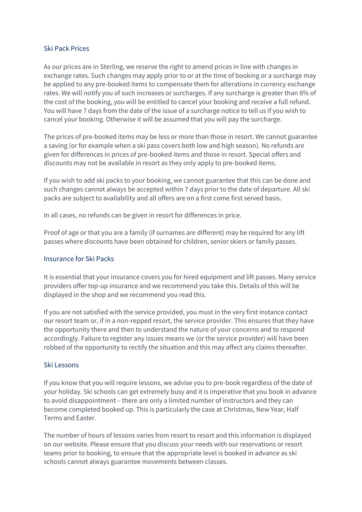### Ski Pack Prices

As our prices are in Sterling, we reserve the right to amend prices in line with changes in exchange rates. Such changes may apply prior to or at the time of booking or a surcharge may be applied to any pre-booked items to compensate them for alterations in currency exchange rates. We will notify you of such increases or surcharges. If any surcharge is greater than 8% of the cost of the booking, you will be entitled to cancel your booking and receive a full refund. You will have 7 days from the date of the issue of a surcharge notice to tell us if you wish to cancel your booking. Otherwise it will be assumed that you will pay the surcharge.

The prices of pre-booked items may be less or more than those in resort. We cannot guarantee a saving (or for example when a ski pass covers both low and high season). No refunds are given for differences in prices of pre-booked items and those in resort. Special offers and discounts may not be available in resort as they only apply to pre-booked items.

If you wish to add ski packs to your booking, we cannot guarantee that this can be done and such changes cannot always be accepted within 7 days prior to the date of departure. All ski packs are subject to availability and all offers are on a first come first served basis.

In all cases, no refunds can be given in resort for differences in price.

Proof of age or that you are a family (if surnames are different) may be required for any lift passes where discounts have been obtained for children, senior skiers or family passes.

### Insurance for Ski Packs

It is essential that your insurance covers you for hired equipment and lift passes. Many service providers offer top-up insurance and we recommend you take this. Details of this will be displayed in the shop and we recommend you read this.

If you are not satisfied with the service provided, you must in the very first instance contact our resort team or, if in a non-repped resort, the service provider. This ensures that they have the opportunity there and then to understand the nature of your concerns and to respond accordingly. Failure to register any issues means we (or the service provider) will have been robbed of the opportunity to rectify the situation and this may affect any claims thereafter.

#### Ski Lessons

If you know that you will require lessons, we advise you to pre-book regardless of the date of your holiday. Ski schools can get extremely busy and it is imperative that you book in advance to avoid disappointment – there are only a limited number of instructors and they can become completed booked up. This is particularly the case at Christmas, New Year, Half Terms and Easter.

The number of hours of lessons varies from resort to resort and this information is displayed on our website. Please ensure that you discuss your needs with our reservations or resort teams prior to booking, to ensure that the appropriate level is booked in advance as ski schools cannot always guarantee movements between classes.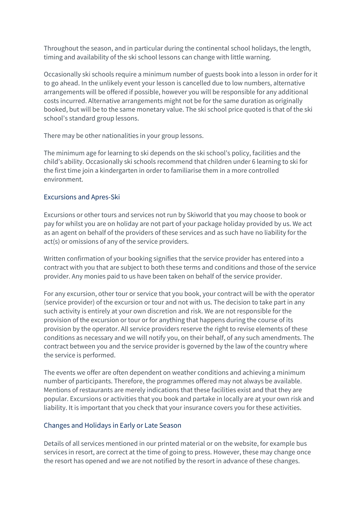Throughout the season, and in particular during the continental school holidays, the length, timing and availability of the ski school lessons can change with little warning.

Occasionally ski schools require a minimum number of guests book into a lesson in order for it to go ahead. In the unlikely event your lesson is cancelled due to low numbers, alternative arrangements will be offered if possible, however you will be responsible for any additional costs incurred. Alternative arrangements might not be for the same duration as originally booked, but will be to the same monetary value. The ski school price quoted is that of the ski school's standard group lessons.

There may be other nationalities in your group lessons.

The minimum age for learning to ski depends on the ski school's policy, facilities and the child's ability. Occasionally ski schools recommend that children under 6 learning to ski for the first time join a kindergarten in order to familiarise them in a more controlled environment.

## Excursions and Apres-Ski

Excursions or other tours and services not run by Skiworld that you may choose to book or pay for whilst you are on holiday are not part of your package holiday provided by us. We act as an agent on behalf of the providers of these services and as such have no liability for the act(s) or omissions of any of the service providers.

Written confirmation of your booking signifies that the service provider has entered into a contract with you that are subject to both these terms and conditions and those of the service provider. Any monies paid to us have been taken on behalf of the service provider.

For any excursion, other tour or service that you book, your contract will be with the operator (service provider) of the excursion or tour and not with us. The decision to take part in any such activity is entirely at your own discretion and risk. We are not responsible for the provision of the excursion or tour or for anything that happens during the course of its provision by the operator. All service providers reserve the right to revise elements of these conditions as necessary and we will notify you, on their behalf, of any such amendments. The contract between you and the service provider is governed by the law of the country where the service is performed.

The events we offer are often dependent on weather conditions and achieving a minimum number of participants. Therefore, the programmes offered may not always be available. Mentions of restaurants are merely indications that these facilities exist and that they are popular. Excursions or activities that you book and partake in locally are at your own risk and liability. It is important that you check that your insurance covers you for these activities.

# Changes and Holidays in Early or Late Season

Details of all services mentioned in our printed material or on the website, for example bus services in resort, are correct at the time of going to press. However, these may change once the resort has opened and we are not notified by the resort in advance of these changes.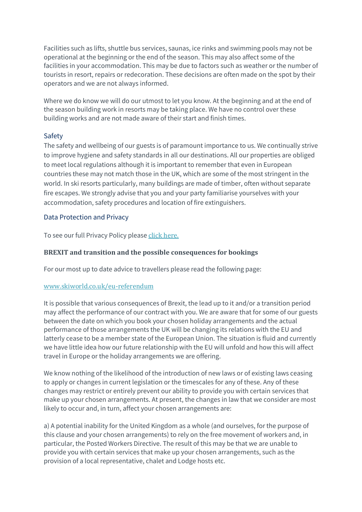Facilities such as lifts, shuttle bus services, saunas, ice rinks and swimming pools may not be operational at the beginning or the end of the season. This may also affect some of the facilities in your accommodation. This may be due to factors such as weather or the number of tourists in resort, repairs or redecoration. These decisions are often made on the spot by their operators and we are not always informed.

Where we do know we will do our utmost to let you know. At the beginning and at the end of the season building work in resorts may be taking place. We have no control over these building works and are not made aware of their start and finish times.

## Safety

The safety and wellbeing of our guests is of paramount importance to us. We continually strive to improve hygiene and safety standards in all our destinations. All our properties are obliged to meet local regulations although it is important to remember that even in European countries these may not match those in the UK, which are some of the most stringent in the world. In ski resorts particularly, many buildings are made of timber, often without separate fire escapes. We strongly advise that you and your party familiarise yourselves with your accommodation, safety procedures and location of fire extinguishers.

### Data Protection and Privacy

To see our full Privacy Policy please click [here.](https://www.skiworld.co.uk/customer-services/Privacy-policy)

## **BREXIT and transition and the possible consequences for bookings**

For our most up to date advice to travellers please read the following page:

## [www.skiworld.co.uk/eu-referendum](http://www.skiworld.co.uk/eu-referendum)

It is possible that various consequences of Brexit, the lead up to it and/or a transition period may affect the performance of our contract with you. We are aware that for some of our guests between the date on which you book your chosen holiday arrangements and the actual performance of those arrangements the UK will be changing its relations with the EU and latterly cease to be a member state of the European Union. The situation is fluid and currently we have little idea how our future relationship with the EU will unfold and how this will affect travel in Europe or the holiday arrangements we are offering.

We know nothing of the likelihood of the introduction of new laws or of existing laws ceasing to apply or changes in current legislation or the timescales for any of these. Any of these changes may restrict or entirely prevent our ability to provide you with certain services that make up your chosen arrangements. At present, the changes in law that we consider are most likely to occur and, in turn, affect your chosen arrangements are:

a) A potential inability for the United Kingdom as a whole (and ourselves, for the purpose of this clause and your chosen arrangements) to rely on the free movement of workers and, in particular, the Posted Workers Directive. The result of this may be that we are unable to provide you with certain services that make up your chosen arrangements, such as the provision of a local representative, chalet and Lodge hosts etc.